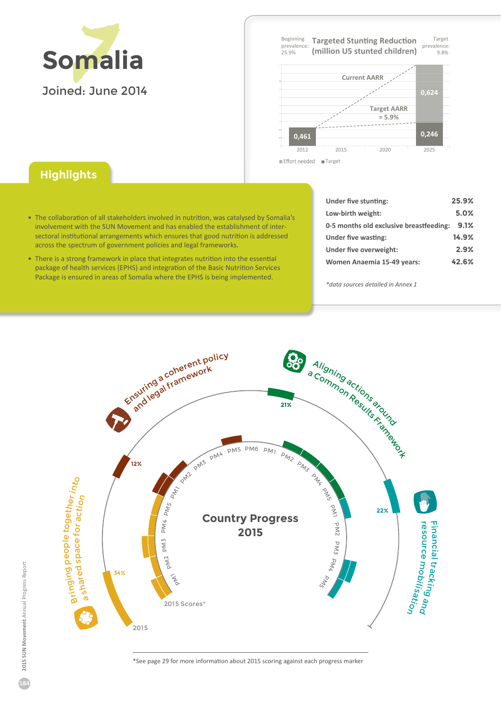

**Target** prevalence 9 . 8 % Beginning prevalence 25 . 9 % **Targeted Stunting Reduction (million U5 stunted children) Current AARR**



Effort needed ■ Targe

## **Highlights**

- The collaboration of all stakeholders involved in nutrition, was catalysed by Somalia's involvement with the SUN Movement and has enabled the establishment of intersectoral institutional arrangements which ensures that good nutrition is addressed across the spectrum of government policies and legal frameworks.
- There is a strong framework in place that integrates nutrition into the essential package of health services (EPHS) and integration of the Basic Nutrition Services Package is ensured in areas of Somalia where the EPHS is being implemented.

| Under five stunting:                    | 25.9% |
|-----------------------------------------|-------|
| Low-birth weight:                       | 5.0%  |
| 0-5 months old exclusive breastfeeding: | 9.1%  |
| Under five wasting:                     | 14.9% |
| Under five overweight:                  | 2.9%  |
| Women Anaemia 15-49 years:              | 42.6% |

*\*data sources detailed in Annex 1*



ΎSee page 2ϵ for more information about 2015 scoring against each progress marker